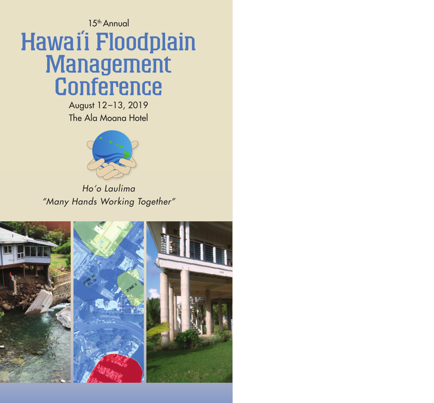# 15th Annual Hawai' i Floodplain **Management Conference**

August 12–13, 2019 The Ala Moana Hotel



*Ho'o Laulima "Many Hands Working Together"*

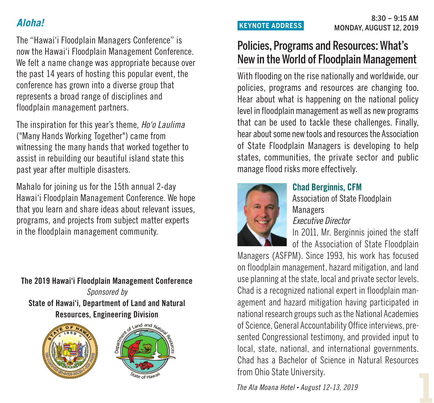## *Aloha!*

The "Hawai'i Floodplain Managers Conference" is now the Hawai'i Floodplain Management Conference. We felt a name change was appropriate because over the past 14 years of hosting this popular event, the conference has grown into a diverse group that represents a broad range of disciplines and floodplain management partners.

The inspiration for this year's theme, *Ho'o Laulima* ("Many Hands Working Together") came from witnessing the many hands that worked together to assist in rebuilding our beautiful island state this past year after multiple disasters.

Mahalo for joining us for the 15th annual 2-day Hawai'i Floodplain Management Conference. We hope that you learn and share ideas about relevant issues, programs, and projects from subject matter experts in the floodplain management community.

**The 2019 Hawai'i Floodplain Management Conference** *Sponsored by* **State of Hawai'i, Department of Land and Natural Resources, Engineering Division**





# Policies, Programs and Resources: What's New in the World of Floodplain Management

With flooding on the rise nationally and worldwide, our policies, programs and resources are changing too. Hear about what is happening on the national policy level in floodplain management as well as new programs that can be used to tackle these challenges. Finally, hear about some new tools and resources the Association of State Floodplain Managers is developing to help states, communities, the private sector and public manage flood risks more effectively.



# **Chad Berginnis, CFM**

Association of State Floodplain Managers *Executive Director*

In 2011, Mr. Berginnis joined the staff of the Association of State Floodplain

Managers (ASFPM). Since 1993, his work has focused on floodplain management, hazard mitigation, and land use planning at the state, local and private sector levels. Chad is a recognized national expert in floodplain management and hazard mitigation having participated in national research groups such as the National Academies of Science, General Accountability Office interviews, presented Congressional testimony, and provided input to local, state, national, and international governments. Chad has a Bachelor of Science in Natural Resources from Ohio State University.

**1** *The Ala Moana Hotel • August 12-13, <sup>2019</sup>*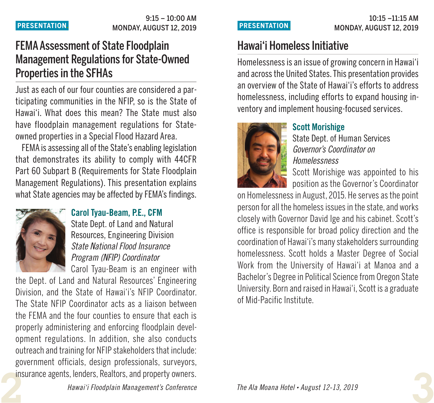### $9:15 - 10:00$  AM **PRESENTATION.** MONDAY, AUGUST 12, 2019

# FEMAAssessment of State Floodplain Management Regulations for State-Owned Properties in the SFHAs

Just as each of our four counties are considered a participating communities in the NFIP, so is the State of Hawai'i. What does this mean? The State must also have floodplain management regulations for Stateowned properties in a Special Flood Hazard Area.

FEMA is assessing all of the State's enabling legislation that demonstrates its ability to comply with 44CFR Part 60 Subpart B (Requirements for State Floodplain Management Regulations). This presentation explains what State agencies may be affected by FEMA's findings.



## **Carol Tyau-Beam, P.E., CFM**

State Dept. of Land and Natural Resources, Engineering Division *State National Flood Insurance Program (NFIP) Coordinator*

Carol Tyau-Beam is an engineer with the Dept. of Land and Natural Resources' Engineering Division, and the State of Hawai'i's NFIP Coordinator. The State NFIP Coordinator acts as a liaison between the FEMA and the four counties to ensure that each is properly administering and enforcing floodplain development regulations. In addition, she also conducts outreach and training for NFIP stakeholders that include: government officials, design professionals, surveyors, insurance agents, lenders, Realtors, and property owners.

# Hawai'i Homeless Initiative

Homelessness isan issue of growing concern in Hawai'i and acrossthe United States. This presentation provides an overview of the State of Hawai'i's efforts to address homelessness, including efforts to expand housing inventory and implement housing-focused services.



## **Scott Morishige**

State Dept. of Human Services *Governor's Coordinator on Homelessness*

Scott Morishige was appointed to his position as the Governor's Coordinator

on Homelessness in August, 2015. He serves as the point person for all the homeless issues in the state, and works closely with Governor David Ige and his cabinet. Scott's office is responsible for broad policy direction and the coordination of Hawai'i's manystakeholders surrounding homelessness. Scott holds a Master Degree of Social Work from the University of Hawai'i at Manoa and a Bachelor's Degree in Political Science from Oregon State University. Born and raised in Hawai'i. Scott is a graduate of Mid-Pacific Institute.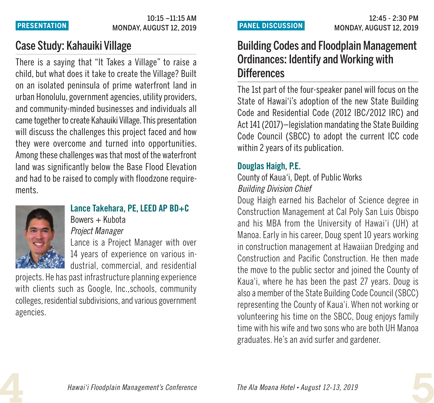### 10:15 –11:15 AM MONDAY, AUGUST 12, 2019 **PRESENTATION.**

# Case Study: Kahauiki Village

There is a saying that "It Takes a Village" to raise a child, but what does it take to create the Village? Built on an isolated peninsula of prime waterfront land in urban Honolulu, government agencies, utility providers, and community-minded businesses and individuals all came together to create Kahauiki Village. This presentation will discuss the challenges this project faced and how they were overcome and turned into opportunities. Among these challenges was that most of the waterfront land was significantly below the Base Flood Elevation and had to be raised to comply with floodzone requirements.



### **Lance Takehara, PE, LEED AP BD+C** Bowers + Kubota

*Project Manager*

Lance is a Project Manager with over 14 years of experience on various industrial, commercial, and residential

projects. He has past infrastructure planning experience with clients such as Google, Inc.,schools, community colleges, residential subdivisions, and various government agencies.

# Building Codes and Floodplain Management Ordinances: Identify and Working with **Differences**

The 1st part of the four-speaker panel will focus on the State of Hawai'i's adoption of the new State Building Code and Residential Code (2012 IBC/2012 IRC) and Act 141 (2017)—legislation mandating the State Building Code Council (SBCC) to adopt the current ICC code within 2 years of its publication.

## **Douglas Haigh, P.E.**

## County of Kaua'i, Dept. of Public Works *Building Division Chief*

Doug Haigh earned his Bachelor of Science degree in Construction Management at Cal Poly San Luis Obispo and his MBA from the University of Hawai'i (UH) at Manoa. Early in his career, Doug spent 10 years working in construction management at Hawaiian Dredging and Construction and Pacific Construction. He then made the move to the public sector and joined the County of Kaua'i, where he has been the past 27 years. Doug is also a member of the State Building Code Council (SBCC) representing the County of Kaua'i. When not working or volunteering his time on the SBCC, Doug enjoys family time with his wife and two sons who are both UH Manoa graduates. He's an avid surfer and gardener.

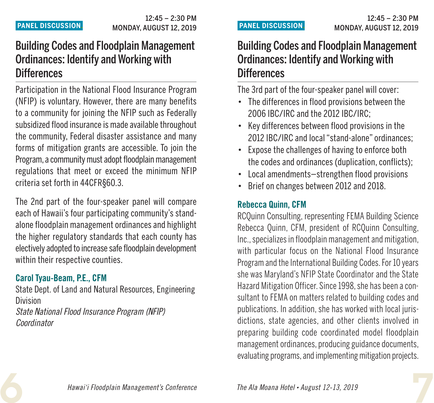# Building Codes and Floodplain Management Ordinances: Identify and Working with **Differences**

Participation in the National Flood Insurance Program (NFIP) is voluntary. However, there are many benefits to a community for joining the NFIP such as Federally subsidized flood insurance is made available throughout the community, Federal disaster assistance and many forms of mitigation grants are accessible. To join the Program, a community must adopt floodplain management regulations that meet or exceed the minimum NFIP criteria set forth in 44CFR§60.3.

The 2nd part of the four-speaker panel will compare each of Hawaii's four participating community's standalone floodplain management ordinances and highlight the higher regulatory standards that each county has electively adopted to increase safe floodplain development within their respective counties.

## **Carol Tyau-Beam, P.E., CFM**

State Dept. of Land and Natural Resources, Engineering Division *State National Flood Insurance Program (NFIP) Coordinator*

# Building Codes and Floodplain Management Ordinances: Identify and Working with **Differences**

The 3rd part of the four-speaker panel will cover:

- The differences in flood provisions between the 2006 IBC/IRC and the 2012 IBC/IRC;
- Key differences between flood provisions in the 2012 IBC/IRC and local"stand-alone" ordinances;
- Expose the challenges of having to enforce both the codes and ordinances (duplication, conflicts);
- Local amendments—strengthen flood provisions
- Brief on changes between 2012 and 2018.

## **Rebecca Quinn, CFM**

RCQuinn Consulting, representing FEMA Building Science Rebecca Quinn, CFM, president of RCQuinn Consulting, Inc., specializes in floodplain management and mitigation, with particular focus on the National Flood Insurance Program and the International Building Codes. For 10 years she was Maryland's NFIP State Coordinator and the State Hazard Mitigation Officer. Since 1998, she has been a consultant to FEMA on matters related to building codes and publications. In addition, she has worked with local jurisdictions, state agencies, and other clients involved in preparing building code coordinated model floodplain management ordinances, producing guidance documents, evaluating programs, and implementing mitigation projects.

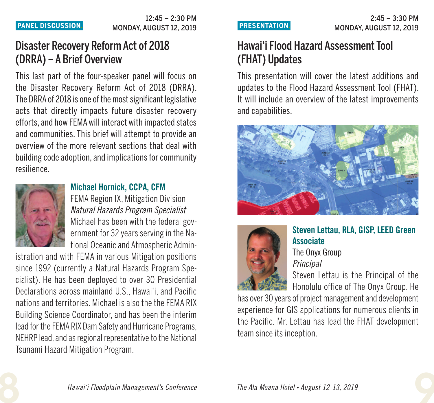# Disaster Recovery ReformAct of 2018 (DRRA) – A Brief Overview

This last part of the four-speaker panel will focus on the Disaster Recovery Reform Act of 2018 (DRRA). The DRRA of 2018 is one of the most significant legislative acts that directly impacts future disaster recovery efforts,and how FEMA will interact with impacted states and communities. This brief will attempt to provide an overview of the more relevant sections that deal with building code adoption, and implications for community resilience.



## **Michael Hornick, CCPA, CFM**

FEMA Region IX, Mitigation Division *Natural Hazards Program Specialist* Michael has been with the federal government for 32 years serving in the National Oceanicand Atmospheric Admin-

istration and with FEMA in various Mitigation positions since 1992 (currently a Natural Hazards Program Specialist). He has been deployed to over 30 Presidential Declarations across mainland U.S., Hawai'i, and Pacific nations and territories. Michael is also the the FEMA RIX Building Science Coordinator, and has been the interim lead for the FEMA RIX Dam Safety and Hurricane Programs, NEHRP lead, and as regional representative to the National Tsunami Hazard Mitigation Program.

# Hawai'i Flood Hazard Assessment Tool (FHAT) Updates

This presentation will cover the latest additions and updates to the Flood Hazard Assessment Tool (FHAT). It will include an overview of the latest improvements and capabilities.





# **Steven Lettau, RLA, GISP, LEED Green Associate**

The Onyx Group *Principal*

Steven Lettau is the Principal of the Honolulu office of The Onyx Group. He

has over 30 years of project management and development experience for GIS applications for numerous clients in the Pacific. Mr. Lettau has lead the FHAT development team since its inception.

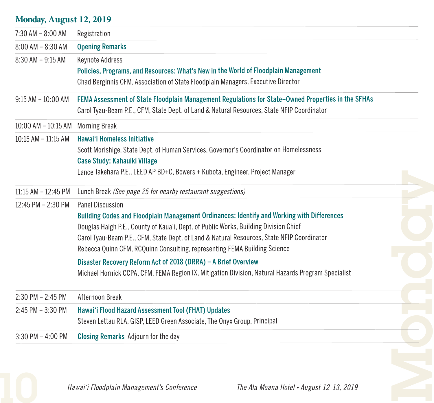## **Monday, August 12, 2019**

| 7:30 AM - 8:00 AM       | Registration                                                                                                                                                                                                                                                                                                                                                                                                                                        |
|-------------------------|-----------------------------------------------------------------------------------------------------------------------------------------------------------------------------------------------------------------------------------------------------------------------------------------------------------------------------------------------------------------------------------------------------------------------------------------------------|
| 8:00 AM - 8:30 AM       | <b>Opening Remarks</b>                                                                                                                                                                                                                                                                                                                                                                                                                              |
| $8:30$ AM $-9:15$ AM    | Keynote Address<br>Policies, Programs, and Resources: What's New in the World of Floodplain Management<br>Chad Berginnis CFM, Association of State Floodplain Managers, Executive Director                                                                                                                                                                                                                                                          |
| $9:15$ AM $-10:00$ AM   | FEMA Assessment of State Floodplain Management Regulations for State-Owned Properties in the SFHAs<br>Carol Tyau-Beam P.E., CFM, State Dept. of Land & Natural Resources, State NFIP Coordinator                                                                                                                                                                                                                                                    |
| 10:00 AM - 10:15 AM     | <b>Morning Break</b>                                                                                                                                                                                                                                                                                                                                                                                                                                |
| $10:15$ AM $- 11:15$ AM | Hawai'i Homeless Initiative<br>Scott Morishige, State Dept. of Human Services, Governor's Coordinator on Homelessness<br>Case Study: Kahauiki Village<br>Lance Takehara P.E., LEED AP BD+C, Bowers + Kubota, Engineer, Project Manager                                                                                                                                                                                                              |
| $11:15$ AM $- 12:45$ PM | Lunch Break (See page 25 for nearby restaurant suggestions)                                                                                                                                                                                                                                                                                                                                                                                         |
| 12:45 PM - 2:30 PM      | Panel Discussion<br>Building Codes and Floodplain Management Ordinances: Identify and Working with Differences<br>Douglas Haigh P.E., County of Kaua'i, Dept. of Public Works, Building Division Chief<br>Carol Tyau-Beam P.E., CFM, State Dept. of Land & Natural Resources, State NFIP Coordinator<br>Rebecca Quinn CFM, RCQuinn Consulting, representing FEMA Building Science<br>Disaster Recovery Reform Act of 2018 (DRRA) - A Brief Overview |
|                         | Michael Hornick CCPA, CFM, FEMA Region IX, Mitigation Division, Natural Hazards Program Specialist                                                                                                                                                                                                                                                                                                                                                  |
| $2:30$ PM $- 2:45$ PM   | Afternoon Break                                                                                                                                                                                                                                                                                                                                                                                                                                     |
| 2:45 PM - 3:30 PM       | Hawai'i Flood Hazard Assessment Tool (FHAT) Updates<br>Steven Lettau RLA, GISP, LEED Green Associate, The Onyx Group, Principal                                                                                                                                                                                                                                                                                                                     |
| $3:30$ PM $-$ 4:00 PM   | Closing Remarks Adjourn for the day                                                                                                                                                                                                                                                                                                                                                                                                                 |

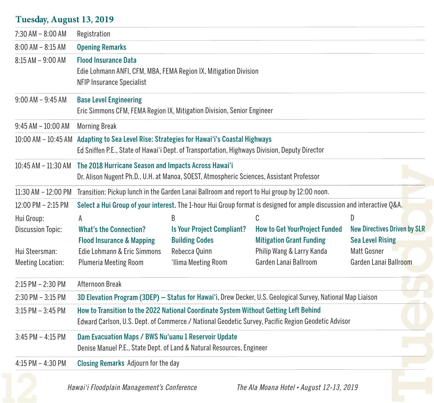## **Tuesday, August 13, 2019**

| $7:30$ AM $-8:00$ AM     | Registration                                                                                                                                                                               |                                                            |                                                                         |                                                                |
|--------------------------|--------------------------------------------------------------------------------------------------------------------------------------------------------------------------------------------|------------------------------------------------------------|-------------------------------------------------------------------------|----------------------------------------------------------------|
| 8:00 AM - 8:15 AM        | <b>Opening Remarks</b>                                                                                                                                                                     |                                                            |                                                                         |                                                                |
| $8:15$ AM $-9:00$ AM     | <b>Flood Insurance Data</b><br>Edie Lohmann ANFI, CFM, MBA, FEMA Region IX, Mitigation Division<br>NFIP Insurance Specialist                                                               |                                                            |                                                                         |                                                                |
| $9:00$ AM $-9:45$ AM     | <b>Base Level Engineering</b><br>Eric Simmons CFM, FEMA Region IX, Mitigation Division, Senior Engineer                                                                                    |                                                            |                                                                         |                                                                |
| $9:45$ AM $-10:00$ AM    | <b>Morning Break</b>                                                                                                                                                                       |                                                            |                                                                         |                                                                |
|                          | 10:00 AM - 10:45 AM Adapting to Sea Level Rise: Strategies for Hawai'i's Coastal Highways<br>Ed Sniffen P.E., State of Hawai'i Dept. of Transportation, Highways Division, Deputy Director |                                                            |                                                                         |                                                                |
|                          | 10:45 AM - 11:30 AM The 2018 Hurricane Season and Impacts Across Hawai'i<br>Dr. Alison Nugent Ph.D., U.H. at Manoa, SOEST, Atmospheric Sciences, Assistant Professor                       |                                                            |                                                                         |                                                                |
| 11:30 AM - 12:00 PM      | Transition: Pickup lunch in the Garden Lanai Ballroom and report to Hui group by 12:00 noon.                                                                                               |                                                            |                                                                         |                                                                |
| $12:00$ PM $- 2:15$ PM   | Select a Hui Group of your interest. The 1-hour Hui Group format is designed for ample discussion and interactive Q&A.                                                                     |                                                            |                                                                         |                                                                |
| Hui Group:               | A                                                                                                                                                                                          | R                                                          | C                                                                       | D.                                                             |
| <b>Discussion Topic:</b> | <b>What's the Connection?</b><br><b>Flood Insurance &amp; Mapping</b>                                                                                                                      | <b>Is Your Project Compliant?</b><br><b>Building Codes</b> | <b>How to Get YourProject Funded</b><br><b>Mitigation Grant Funding</b> | <b>New Directives Driven by SLR</b><br><b>Sea Level Rising</b> |
| Hui Steersman:           | Edie Lohmann & Eric Simmons                                                                                                                                                                | Rebecca Quinn                                              | Philip Wang & Larry Kanda                                               | Matt Gosner                                                    |
| <b>Meeting Location:</b> | Plumeria Meeting Room                                                                                                                                                                      | 'Ilima Meeting Room                                        | Garden Lanai Ballroom                                                   | Garden Lanai Ballroom                                          |
| 2:15 PM - 2:30 PM        | Afternoon Break                                                                                                                                                                            |                                                            |                                                                         |                                                                |
| $2:30$ PM $-3:15$ PM     | 3D Elevation Program (3DEP) - Status for Hawai'i, Drew Decker, U.S. Geological Survey, National Map Liaison                                                                                |                                                            |                                                                         |                                                                |
| $3:15$ PM $-3:45$ PM     | How to Transition to the 2022 National Coordinate System Without Getting Left Behind<br>Edward Carlson, U.S. Dept. of Commerce / National Geodetic Survey, Pacific Region Geodetic Advisor |                                                            |                                                                         |                                                                |
| 3:45 PM - 4:15 PM        | Dam Evacuation Maps / BWS Nu'uanu 1 Reservoir Update<br>Denise Manuel P.E., State Dept. of Land & Natural Resources, Engineer                                                              |                                                            |                                                                         |                                                                |
| 4:15 PM - 4:30 PM        | Closing Remarks Adjourn for the day                                                                                                                                                        |                                                            |                                                                         |                                                                |
|                          | Hawai'i Floodplain Management's Conference                                                                                                                                                 |                                                            | The Ala Moana Hotel . August 12-13, 2019                                |                                                                |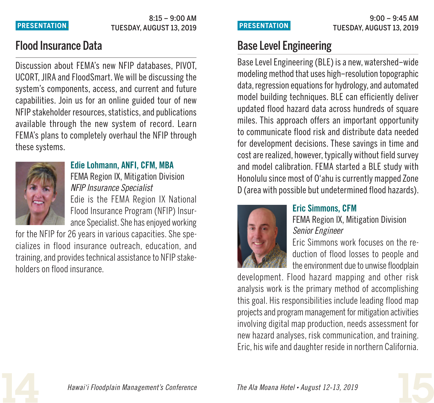### 8:15 – 9:00 AM TUESDAY, AUGUST 13, 2019 **PRESENTATION.**

## Flood Insurance Data

Discussion about FEMA's new NFIP databases, PIVOT, UCORT,JIRA and FloodSmart.We will be discussing the system's components, access, and current and future capabilities. Join us for an online guided tour of new NFIP stakeholder resources, statistics, and publications available through the new system of record. Learn FEMA's plans to completely overhaul the NFIP through these systems.



## **Edie Lohmann, ANFI, CFM, MBA**

FEMA Region IX, Mitigation Division *NFIP Insurance Specialist* Edie is the FEMA Region IX National Flood Insurance Program (NFIP) Insurance Specialist. She has enjoyed working

for the NFIP for 26 years in various capacities. She specializes in flood insurance outreach, education, and training, and provides technical assistance to NFIP stakeholders on flood insurance.

# Base Level Engineering

Base Level Engineering (BLE) is a new, watershed-wide modeling method that uses high–resolution topographic data, regression equations for hydrology, and automated model building techniques. BLE can efficiently deliver updated flood hazard data across hundreds of square miles. This approach offers an important opportunity to communicate flood risk and distribute data needed for development decisions. These savings in time and cost are realized, however, typically without field survey and model calibration. FEMA started a BLE study with Honolulu since most of O'ahu is currently mapped Zone D (area with possible but undetermined flood hazards).



## **Eric Simmons, CFM**

FEMA Region IX, Mitigation Division *Senior Engineer*

Eric Simmons work focuses on the reduction of flood losses to people and the environment due to unwise floodplain

development. Flood hazard mapping and other risk analysis work is the primary method of accomplishing this goal. His responsibilities include leading flood map projectsand program management for mitigation activities involving digital map production, needs assessment for new hazard analyses, risk communication, and training. Eric, his wife and daughter reside in northern California.



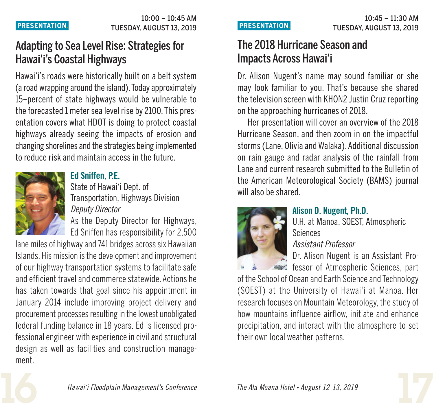# Adapting to Sea Level Rise: Strategies for Hawai'i's Coastal Highways

Hawai'i's roads were historically built on a belt system (aroad wrapping around theisland). Todayapproximately 15–percent of state highways would be vulnerable to the forecasted 1 meter sea level rise by 2100. This presentation covers what HDOT is doing to protect coastal highways already seeing the impacts of erosion and changing shorelines and the strategies being implemented to reduce risk and maintain access in the future.



**Ed Sniffen, P.E.** State of Hawai'i Dept. of

Transportation, Highways Division *Deputy Director*

As the Deputy Director for Highways, Ed Sniffen has responsibility for 2,500

lane miles of highway and 741 bridges across six Hawaiian Islands. His mission is the development and improvement of our highway transportation systems to facilitate safe and efficient travel and commerce statewide. Actions he has taken towards that goal since his appointment in January 2014 include improving project delivery and procurement processes resulting in the lowest unobligated federal funding balance in 18 years. Ed is licensed professional engineer with experience in civil and structural design as well as facilities and construction management.

# The 2018 Hurricane Season and Impacts Across Hawai'i

Dr. Alison Nugent's name may sound familiar or she may look familiar to you. That's because she shared the television screen with KHON2 Justin Cruz reporting on the approaching hurricanes of 2018.

Her presentation will cover an overview of the 2018 Hurricane Season, and then zoom in on the impactful storms (Lane, Olivia and Walaka). Additional discussion on rain gauge and radar analysis of the rainfall from Lane and current research submitted to the Bulletin of the American Meteorological Society (BAMS) journal will also be shared.



## **Alison D. Nugent, Ph.D.**

U.H. at Manoa, SOEST, Atmospheric Sciences

*Assistant Professor*

Dr. Alison Nugent is an Assistant Pro-

fessor of Atmospheric Sciences, part of the School of Ocean and Earth Science and Technology (SOEST) at the University of Hawai'i at Manoa. Her research focuses on Mountain Meteorology, the study of how mountains influence airflow, initiate and enhance precipitation, and interact with the atmosphere to set their own local weather patterns.



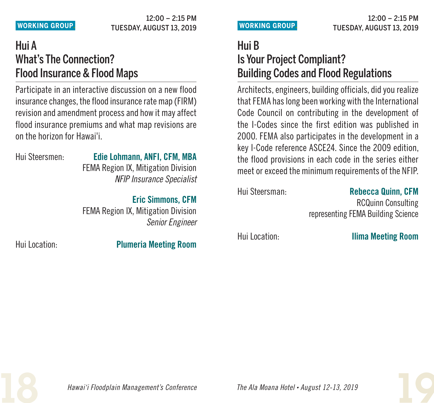### 12:00 – 2:15 PM **WORKING GROUP.** TUESDAY, AUGUST 13, 2019

# Hui A What's The Connection? Flood Insurance & Flood Maps

Participate in an interactive discussion on a new flood insurance changes, the flood insurance rate map (FIRM) revision and amendment process and how it mayaffect flood insurance premiums and what map revisions are on the horizon for Hawai'i.

## Hui Steersmen: **Edie Lohmann, ANFI, CFM, MBA**

FEMA Region IX, Mitigation Division *NFIP Insurance Specialist*

## **Eric Simmons, CFM**

FEMA Region IX, Mitigation Division *Senior Engineer*

Hui Location: **Plumeria Meeting Room**

# Hui B Is Your Project Compliant? Building Codes and Flood Regulations

Architects,engineers, building officials, did you realize that FEMA has long been working with the International Code Council on contributing in the development of the I-Codes since the first edition was published in 2000. FEMA also participates in the development in a key I-Code reference ASCE24. Since the 2009 edition, the flood provisions in each code in the series either meet or exceed the minimum requirements of the NFIP.

## Hui Steersman: **Rebecca Quinn, CFM**

RCQuinn Consulting representing FEMA Building Science

Hui Location: **Ilima Meeting Room**

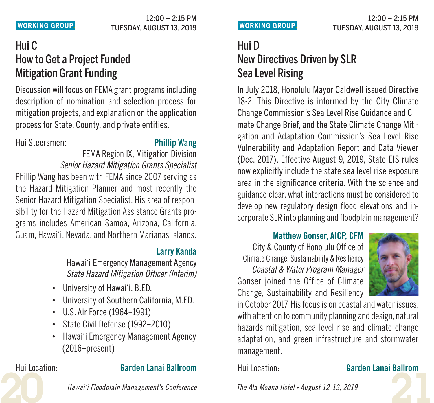### 12:00 – 2:15 PM **WORKING GROUP.** TUESDAY, AUGUST 13, 2019

# Hui C How to Get a Project Funded **Mitigation Grant Funding**

Discussion will focus on FEMA grant programs including description of nomination and selection process for mitigation projects,and explanation on the application process for State, County, and private entities.

Hui Steersmen: Phillip Wang

FEMA Region IX, Mitigation Division *Senior Hazard Mitigation Grants Specialist*

Phillip Wang has been with FEMA since 2007 serving as the Hazard Mitigation Planner and most recently the Senior Hazard Mitigation Specialist. His area of responsibility for the Hazard Mitigation Assistance Grants programs includes American Samoa, Arizona, California, Guam, Hawai'i, Nevada, and Northern Marianas Islands.

## **Larry Kanda**

Hawai'i Emergency Management Agency *State Hazard Mitigation Officer (Interim)*

- University of Hawai'i, B.ED,
- University of Southern California, M.ED.
- U.S. Air Force (1964–1991)
- State Civil Defense (1992–2010)
- Hawai'i Emergency Management Agency (2016–present)

## Hui Location: **Garden Lanai Ballroom**

 $12:00 - 2:15$  PM **WORKING GROUP.** TUESDAY, AUGUST 13, 2019

# Hui D New Directives Driven by SLR Sea Level Rising

In July 2018, Honolulu Mayor Caldwell issued Directive 18-2. This Directive is informed by the City Climate Change Commission's Sea Level Rise Guidance and Climate Change Brief, and the State Climate Change Mitigation and Adaptation Commission's Sea Level Rise Vulnerability and Adaptation Report and Data Viewer (Dec. 2017). Effective August 9, 2019, State EIS rules now explicitly include the state sea level rise exposure area in the significance criteria. With the science and guidance clear, what interactions must be considered to develop new regulatory design flood elevations and incorporate SLR into planning and floodplain management?

## **Matthew Gonser, AICP, CFM**

City & County of Honolulu Office of Climate Change, Sustainability & Resiliency *Coastal & Water Program Manager* Gonser joined the Office of Climate Change, Sustainability and Resiliency



in October 2017. His focus is on coastal and water issues with attention to community planning and design, natural hazards mitigation, sea level rise and climate change adaptation, and green infrastructure and stormwater management.

## Hui Location: **Garden Lanai Ballrom**

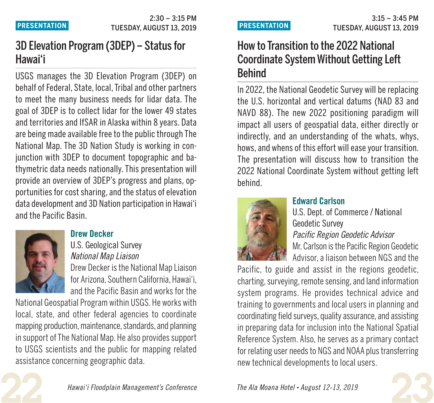# 3D Elevation Program (3DEP) – Statusfor Hawai'i

USGS manages the 3D Elevation Program (3DEP) on behalf of Federal, State, local, Tribal and other partners to meet the many business needs for lidar data. The goal of 3DEP is to collect lidar for the lower 49 states and territories and IfSAR in Alaska within 8 years. Data are being made available free to the public through The National Map. The 3D Nation Study is working in conjunction with 3DEP to document topographic and bathymetric data needs nationally. This presentation will provide an overview of 3DEP's progress and plans, opportunities for cost sharing, and the status of elevation data development and 3D Nation participation in Hawai'i and the Pacific Basin.



## **Drew Decker**

U.S. Geological Survey *National Map Liaison* Drew Decker is the National Map Liaison for Arizona, Southern California, Hawai'i, and the Pacific Basin and works for the

National Geospatial Program within USGS. He works with local, state, and other federal agencies to coordinate mapping production, maintenance, standards, and planning in support of The National Map. He also provides support to USGS scientists and the public for mapping related assistance concerning geographic data.

# How to Transition to the 2022 National Coordinate SystemWithout Getting Left Behind

In 2022, the National Geodetic Survey will be replacing the U.S. horizontal and vertical datums (NAD 83 and NAVD 88). The new 2022 positioning paradigm will impact all users of geospatial data, either directly or indirectly, and an understanding of the whats, whys, hows, and whens of this effort will ease your transition. The presentation will discuss how to transition the 2022 National Coordinate System without getting left behind.



## **Edward Carlson**

U.S. Dept. of Commerce / National Geodetic Survey *Pacific Region Geodetic Advisor* Mr. Carlson is the Pacific Region Geodetic Advisor, a liaison between NGS and the

Pacific, to guide and assist in the regions geodetic, charting, surveying, remote sensing, and land information system programs. He provides technical advice and training to governments and local users in planning and coordinating field surveys, quality assurance, and assisting in preparing data for inclusion into the National Spatial Reference System. Also, he serves as a primary contact for relating user needs to NGS and NOAA plus transferring new technical developments to local users.

**23** *The Ala Moana Hotel • August 12-13, <sup>2019</sup>*

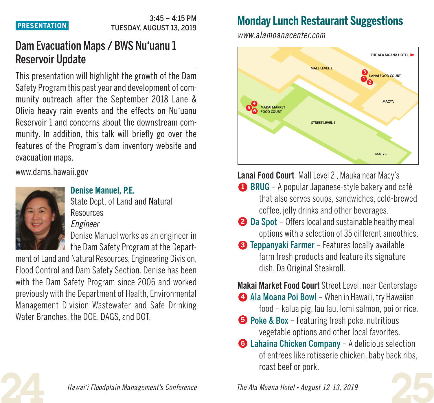### $3.45 - 4.15$  PM TUESDAY, AUGUST 13, 2019 **PRESENTATION.**

# Dam Evacuation Maps / BWS Nu'uanu 1 Reservoir Update

This presentation will highlight the growth of the Dam Safety Program this past year and development of community outreach after the September 2018 Lane & Olivia heavy rain events and the effects on Nu'uanu Reservoir 1 and concerns about the downstream community. In addition, this talk will briefly go over the features of the Program's dam inventory website and evacuation maps.

www.dams.hawaii.gov



## **Denise Manuel, P.E.**

State Dept. of Land and Natural **Resources** *Engineer*

Denise Manuel works as an engineer in the Dam Safety Program at the Depart-

ment of Land and Natural Resources, Engineering Division, Flood Control and Dam Safety Section. Denise has been with the Dam Safety Program since 2006 and worked previously with the Department of Health, Environmental Management Division Wastewater and Safe Drinking Water Branches, the DOE, DAGS, and DOT.

# **Monday Lunch Restaurant Suggestions**

*www.alamoanacenter.com*



**Lanai Food Court** Mall Level 2 , Mauka near Macy's

- **1** BRUG A popular Japanese-style bakery and café that also serves soups, sandwiches, cold-brewed coffee, jelly drinks and other beverages.
- 2 Da Spot Offers local and sustainable healthy meal options with a selection of 35 different smoothies.
- **3** Teppanyaki Farmer Features locally available farm fresh products and feature its signature dish, Da Original Steakroll.

**Makai Market Food Court** Street Level, near Centerstage

- **4** Ala Moana Poi Bowl When in Hawai'i, try Hawaiian food – kalua pig, lau lau, lomi salmon, poi or rice.
- **5** Poke & Box Featuring fresh poke, nutritious vegetable options and other local favorites.
- **6** Lahaina Chicken Company A delicious selection of entrees like rotisserie chicken, baby back ribs, roast beef or pork.



**24** *Hawai'i Floodplain Management's Conference*

**25** *The Ala Moana Hotel • August 12-13, <sup>2019</sup>*

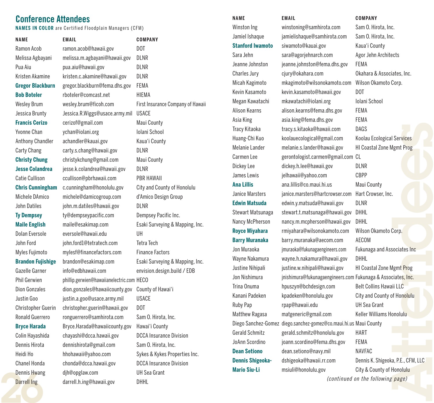## **Conference Attendees**

**NAMES IN COLOR** are Certified Floodplain Managers (CFM)

**NAME** Ramon Acob Melissa Agbayani Pua Aiu Kristen Akamine **Gregor Blackburn Bob Boteler** Wesley Brum Jessica Brunty **Francis Cerizo** Yvonne Chan Anthony Chandler Carty Chang **Christy Chung Jesse Colandrea** Catie Cullison **Chris Cunningham** Michele DAmico John Datiles **Ty Dempsey Maile English** Dolan Eversole John Ford Myles Fujimoto **Brandon Fujishige** Gazelle Garner Phil Gerwien Dion Gonzales Justin Goo Christopher Guerin Ronald Guerrero **Bryce Harada** Colin Hayashida

Dennis Hirota Heidi Ho Chanel Honda Dennis Hwang Darrell Ing

Chanel Honda chonda@dcca.hawaii.gov DCCA Insurance Division **Dennis Shigeoka-** dshigeoka@hawaii.rr.com Dennis K. Shigeoka, P.E., CFM, LLC<br>Dennis Hwang djh@opglaw.com UH Sea Grant Mario Siu-Li msiuli@honolulu.gov City & Cou **EMAIL COMPANY** ramon.acob@hawaii.gov DOT melissa.m.agbayani@hawaii.gov DLNR pua.aiu@hawaii.gov DLNR kristen.c.akamine@hawaii.gov DLNR gregor.blackburn@fema.dhs.gov FEMA rboteler@comcast.net HIEMA wesley.brum@ficoh.com First Insurance Company of Hawaii Jessica.R.Wiggs@usace.army.mil USACE cerizof@gmail.com Maui County ychan@iolani.org Iolani School achandler@kauai.gov Kaua'i County carty.s.chang@hawaii.gov DLNR christykchung@gmail.com Maui County jesse.k.colandrea@hawaii.gov DLNR ccullison@pbrhawaii.com PBR HAWAII c.cunningham@honolulu.gov City and County of Honolulu michele@damicogroup.com d'Amico Design Group john.m.datiles@hawaii.gov DLNR ty@dempseypacific.com Dempsey Pacific Inc. maile@esakimap.com Esaki Surveying & Mapping, Inc. eversole@hawaii.edu UH john.ford1@tetratech.com Tetra Tech mylesf@financefactors.com Finance Factors brandon@esakimap.com Esaki Surveying & Mapping, Inc. info@edbhawaii.com envision.design.build / EDB phillip.gerwien@hawaiianelectric.com HECO dion.gonzales@hawaiicounty.gov County of Hawai'i justin.a.goo@usace.army.mil USACE christopher.guerin@hawaii.gov DOT ronguerrero@samhirota.com Sam O. Hirota, Inc. Bryce.Harada@hawaiicounty.gov Hawai'i County chayashi@dcca.hawaii.gov DCCA Insurance Division dennishirota@gmail.com Sam O. Hirota, Inc. hhohawaii@yahoo.com Sykes & Kykes Properties Inc. chonda@dcca.hawaii.gov DCCA Insurance Division djh@opglaw.com UH Sea Grant darrell.h.ing@hawaii.gov DHHL

### **NAME** Winston Ing

Jamiel Ishaque **Stanford Iwamoto** Sara Jehn Jeanne Johnston Charles Jury Micah Kagimoto Kevin Kasamoto Megan Kawatachi Alison Kearns Asia King Tracy Kitaoka Huang-Chi Kuo Melanie Lander Carmen Lee Dickey Lee James Lewis **Ana Lillis** Janice Marsters **Edwin Matsuda** Stewart Matsunaga Nancy McPherson **Royce Miyahara Barry Muranaka** Jon Muraoka Wayne Nakamura Justine Nihipali Jon Nishimura Trina Onuma Kanani Padeken Ruby Pap Matthew Ragasa Diego Sanchez-Gomez Gerald Schmitz JoAnn Scordino **Dean Setiono Dennis Shigeoka-Mario Siu-Li**

jamielishaque@samhirota.com Sam O. Hirota, Inc. siwamoto@kauai.gov Kaua'i County sara@agorjehnarch.com Agor Jehn Architects jeanne.johnston@fema.dhs.gov FEMA cjury@okahara.com Okahara & Associates, Inc. mkagimoto@wilsonokamoto.com Wilson Okamoto Corp. kevin.kasamoto@hawaii.gov DOT mkawatachi@iolani.org Iolani School alison.kearns@fema.dhs.gov FEMA asia.king@fema.dhs.gov FEMA tracy.s.kitaoka@hawaii.com DAGS koolauecological@gmail.com Koolau Ecological Services melanie.s.lander@hawaii.gov HI Coastal Zone Mgmt Prog gerontologist.carmen@gmail.com CL dickey.h.lee@hawaii.gov DLNR jelhawaii@yahoo.com CBPP ana.lillis@co.maui.hi.us Maui County janice.marsters@hartcrowser.com Hart Crowser, Inc. edwin.y.matsuda@hawaii.gov DLNR stewart.t.matsunaga@hawaii.gov DHHL nancy.m.mcpherson@hawaii.gov DHHL rmiyahara@wilsonokamoto.com Wilson Okamoto Corp. barry.muranaka@aecom.com AECOM jmuraoka@fukunagaengineers.com Fukunaga and Associates Inc wayne.h.nakamura@hawaii.gov DHHL justine.w.nihipali@hawaii.gov HI Coastal Zone Mgmt Prog jnishimura@fukunagaengineers.com Fukunaga & Associates, Inc. hpuszyn@bchdesign.com Belt Collins Hawaii LLC kpadeken@honolulu.gov City and County of Honolulu rpap@hawaii.edu UH Sea Grant matgeneric@gmail.com Keller Williams Honolulu diego.sanchez-gomez@co.maui.hi.us Maui County gerald.schmitz@honolulu.gov HART joann.scordino@fema.dhs.gov FEMA dean.setiono@navy.mil NAVFAC msiuli@honolulu.gov City & County of Honolulu

### **EMAIL COMPANY**

**e**<br>**e**<br>**e**<br>**e**<br>**e**<br>**e**<br>**e**<br>**e**<br>**e n**<br>**i** Prog<br>**s**, Inc. **Corp.**<br>cociates Inc. **e s**<br>**s**<br>**b**<br>**c**<br>**d** winstoning@samhirota.com Sam O. Hirota, Inc. dshigeoka@hawaii.rr.com Dennis K. Shigeoka, P.E., CFM,LLC *(continued on the following page)*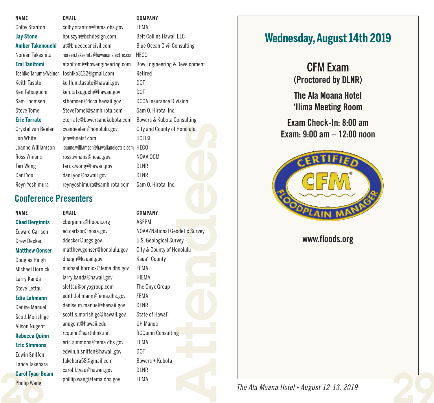| <b>NAMF</b>             | <b>EMAIL</b>                           | COMPANY                            |
|-------------------------|----------------------------------------|------------------------------------|
| <b>Colby Stanton</b>    | colby.stanton@fema.dhs.gov             | FEMA                               |
| <b>Jay Stone</b>        | hpuszyn@bchdesign.com                  | <b>Belt Collins Hawaii LLC</b>     |
| <b>Amber Takenouchi</b> | at@blueoceancivil.com                  | <b>Blue Ocean Civil Consulting</b> |
| Noreen Takeshita        | noreen takeshita@hawaiianelectric.com  | <b>HECO</b>                        |
| <b>Emi Tanitomi</b>     | etanitomi@bowengineering.com           | Bow Engineering & Development      |
| Toshiko Tanuma-Weiner   | toshiko3132@gmail.com                  | Retired                            |
| Keith Tasato            | keith.m.tasato@hawaii.gov              | DOT                                |
| Ken Tatsuguchi          | ken.tatsuguchi@hawaii.gov              | DOT                                |
| Sam Thomsen             | sthomsen@dcca.hawaii.gov               | <b>DCCA Insurance Division</b>     |
| Steve Tomei             | SteveTomei@samhirota.com               | Sam O. Hirota, Inc.                |
| <b>Eric Torrate</b>     | etorrate@bowersandkubota.com           | Bowers & Kubota Consulting         |
| Crystal van Beelen      | cvanbeelen@honolulu.gov                | City and County of Honolulu        |
| Jon White               | jon@hoeisf.com                         | <b>HOEISF</b>                      |
| Joanne Williamson       | joanne.williamson@hawaiianelectric.com | <b>HECO</b>                        |
| Ross Winans             | ross.winans@noaa.gov                   | NOAA OCM                           |
| Teri Wong               | teri.k.wong@hawaii.gov                 | <b>DLNR</b>                        |
| Dani Yoo                | dani.yoo@hawaii.gov                    | <b>DLNR</b>                        |
| Reyn Yoshimura          | reynyoshimura@samhirota.com            | Sam O. Hirota, Inc.                |

## **Conference Presenters**

### **NAME**

**288 Carol Tyau-Be**<br>Phillip Wang **Chad Berginnis** Edward Carlson Drew Decker **Matthew Gonser** Douglas Haigh Michael Hornick Larry Kanda Steve Lettau **Edie Lohmann** Denise Manuel Scott Morishige Alison Nugent **Rebecca Quinn Eric Simmons** Edwin Sniffen Lance Takehara **Carol Tyau-Beam** Phillip Wang

cberginnis@floods.org ASFPM ed.carlson@noaa.gov NOAA/National Geodetic Survey ddecker@usgs.gov U.S. Geological Survey matthew.gonser@honolulu.gov City & County of Honolulu dhaigh@kauail.gov Kaua'i County michael.hornick@fema.dhs.gov FEMA larry.kanda@hawaii.gov HIEMA slettau@onyxgroup.com The Onyx Group edith.lohmann@fema.dhs.gov FEMA denise.m.manuel@hawaii.gov DLNR scott.s.morishige@hawaii.gov State of Hawai'i anugent@hawaii.edu UH Manoa rcquinn@earthlink.net RCQuinn Consulting eric.simmons@fema.dhs.gov FEMA edwin.h.sniffen@hawaii.gov DOT takehara58@gmail.com Bowers + Kubota carol.l.tyau@hawaii.gov DLNR phillip.wang@fema.dhs.gov FEMA

### **EMAIL COMPANY**

 $\mathbf{g} = \mathbf{f} \cdot \mathbf{f}$ **detic Survey**<br> **detic Survey**<br> **detical** 

# **Wednesday,August 14th 2019**

CFM Exam **(Proctored by DLNR)**

**The Ala Moana Hotel 'Ilima Meeting Room**

**Exam Check-In: 8:00 am Exam: 9:00 am – 12:00 noon**



**www.floods.org**